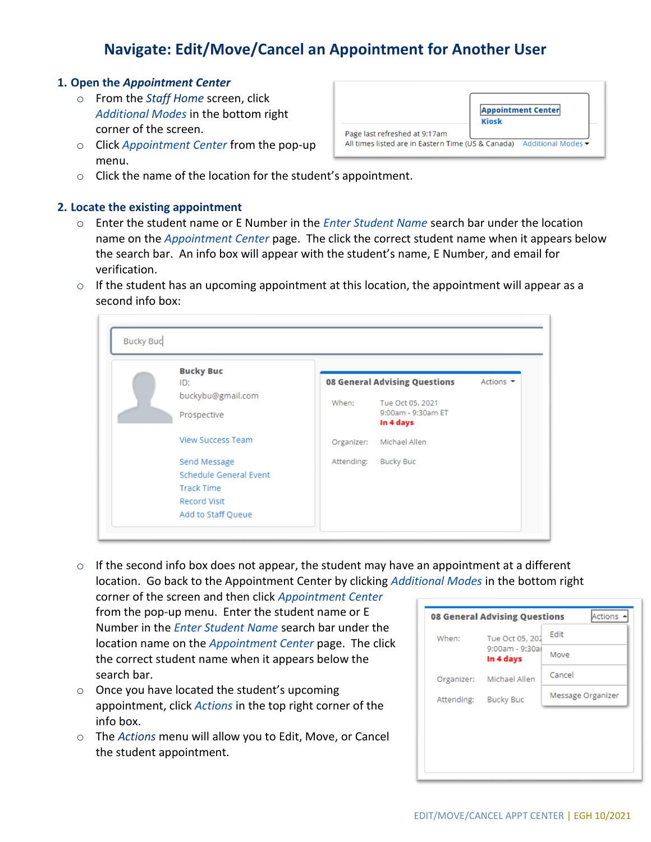## **Navigate: Edit/Move/Cancel an Appointment for Another User**

## **1. Open the** *Appointment Center*

- o From the *Staff Home* screen, click *Additional Modes* in the bottom right corner of the screen.
- o Click *Appointment Center* from the pop-up menu.



 $\circ$  Click the name of the location for the student's appointment.

## **2. Locate the existing appointment**

- o Enter the student name or E Number in the *Enter Student Name* search bar under the location name on the *Appointment Center* page. The click the correct student name when it appears below the search bar. An info box will appear with the student's name, E Number, and email for verification.
- $\circ$  If the student has an upcoming appointment at this location, the appointment will appear as a second info box:

| <b>Bucky Buc</b>              |            |                                      |           |
|-------------------------------|------------|--------------------------------------|-----------|
| ID:                           |            | <b>08 General Advising Questions</b> | Actions - |
| buckybu@gmail.com             |            |                                      |           |
|                               | When:      | Tue Oct 05, 2021                     |           |
| Prospective                   |            | 9:00am - 9:30am ET<br>In 4 days      |           |
|                               |            |                                      |           |
| <b>View Success Team</b>      | Organizer: | Michael Allen                        |           |
| Send Message                  | Attending: | <b>Bucky Buc</b>                     |           |
| <b>Schedule General Event</b> |            |                                      |           |
| <b>Track Time</b>             |            |                                      |           |
| <b>Record Visit</b>           |            |                                      |           |
| Add to Staff Queue            |            |                                      |           |

 $\circ$  If the second info box does not appear, the student may have an appointment at a different location. Go back to the Appointment Center by clicking *Additional Modes* in the bottom right

corner of the screen and then click *Appointment Center* from the pop-up menu. Enter the student name or E Number in the *Enter Student Name* search bar under the location name on the *Appointment Center* page. The click the correct student name when it appears below the search bar.

- $\circ$  Once you have located the student's upcoming appointment, click *Actions* in the top right corner of the info box.
- o The *Actions* menu will allow you to Edit, Move, or Cancel the student appointment.

| Actions<br><b>08 General Advising Questions</b> |                              |                   |  |  |  |  |  |  |
|-------------------------------------------------|------------------------------|-------------------|--|--|--|--|--|--|
| When:                                           | Tue Oct 05, 202              | Edit              |  |  |  |  |  |  |
|                                                 | 9:00am - 9:30ai<br>In 4 days | Move              |  |  |  |  |  |  |
| Organizer:                                      | Michael Allen                | Cancel            |  |  |  |  |  |  |
| Attending:                                      | <b>Bucky Buc</b>             | Message Organizer |  |  |  |  |  |  |
|                                                 |                              |                   |  |  |  |  |  |  |
|                                                 |                              |                   |  |  |  |  |  |  |
|                                                 |                              |                   |  |  |  |  |  |  |
|                                                 |                              |                   |  |  |  |  |  |  |